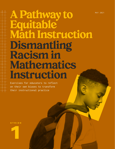MAY 2021

# A Pathway to Equitable Math Instruction Dismantling Racism in Mathematics Instruction

Exercises for educators to reflect on their own biases to transform their instructional practice

STRIDE

1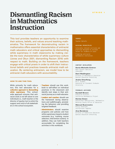# Dismantling Racism in Mathematics Instruction

This tool provides teachers an opportunity to examine their actions, beliefs, and values around teaching mathematics. The framework for deconstructing racism in mathematics offers essential characteristics of antiracist math educators and critical approaches to dismantling white supremacy in math classrooms by making visible the toxic characteristics of white supremacy culture (Jones and Okun 2001; dismantling Racism 2016) with respect to math. Building on the framework, teachers engage with critical praxis in order to shift their instructional beliefs and practices towards antiracist math education. By centering antiracism, we model how to be antiracist math educators with accountability.

#### HOW TO USE THIS TOOL

While primarily for math educators, this text advocates for a collective approach to dismantling white supremacy. This schoolwide approach ensures that antiracist work is not left alone to one individual (i.e., math teacher or the director of equity), but to enlist the support and voice of all stakeholders in the school ecosystem.

- Teachers should use this workbook to self-reflect on individual practices in the classroom and identify next steps in their antiracist journey as a math educator.
- Leaders and coaches should use the framework during observations and walkthroughs, annotating the behaviors and providing targeted feedback.
- **· Administrators** should examine programs and policies and how white supremacy impacts student outcomes (e.g., tracking, course selection, intervention rosters). In addition, they can hold teachers accountable for completing the activities in this workbook.

#### **THEMES**

Teacher Beliefs

#### **GUIDING PRINCIPLES**

Culturally relevant curricula and practices designed to increase access for students of color.

Promoting antiracist mathematics instruction.

#### **CONTENT DEVELOPERS**

Sonia Michelle Cintron

Math Content Specialist UnboundEd

Dani Wadlington Director of Mathematics Education Quetzal Education Consulting

Andre ChenFeng Ph.D. Student Education at Claremont Graduate University

#### **FEEDBACK ADVISORS**

Kyndall Brown Executive Director California Mathematics Project

Denise Green Educational Administrator, Mathematics Monterey County Office of Education

Manuel Buenrostro Policy Associate Californians Together

Ana Benderas Director of Humanities Education Quetzal Education Consulting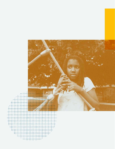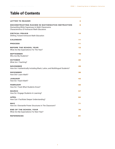L

# Table of Contents

| <b>LETTER TO READER</b>                                                                                                                                          | 4  |
|------------------------------------------------------------------------------------------------------------------------------------------------------------------|----|
| <b>DECONSTRUCTING RACISM IN MATHEMATICS INSTRUCTION</b><br>Dismantling White Supremacy In Math Classrooms<br><b>Characteristics Of Antiracist Math Educators</b> | 6  |
| <b>CRITICAL PRAXIS</b><br><b>Shifting Toward Antiracist Math Education</b>                                                                                       | 10 |
| <b>CALENDAR</b>                                                                                                                                                  | 11 |
| <b>PROCESS</b>                                                                                                                                                   | 11 |
| <b>BEFORE THE SCHOOL YEAR</b><br>What Are My Expectations For The Year?                                                                                          | 12 |
| <b>SEPTEMBER</b><br>Who Are My Students?                                                                                                                         | 15 |
| <b>OCTOBER</b><br>What Am I Teaching?                                                                                                                            | 22 |
| <b>NOVEMBER</b><br>How Am I Authentically Including Black, Latinx, and Multilingual Students?                                                                    | 29 |
| <b>DECEMBER</b><br>How Did I Learn Math?                                                                                                                         | 36 |
| <b>JANUARY</b><br>How Do I Teach Math?                                                                                                                           | 43 |
| <b>FEBRUARY</b><br>How Do I Track What Students Know?                                                                                                            | 50 |
| <b>MARCH</b><br>How Do I Engage Students In Learning?                                                                                                            | 57 |
| <b>APRIL</b><br>How Can I Facilitate Deeper Understanding?                                                                                                       | 64 |
| <b>MAY</b><br>How Do I Dismantle Power Structures In The Classroom?                                                                                              | 71 |
| <b>END OF THE SCHOOL YEAR</b><br>What Are My Expectations For Next Year?                                                                                         | 78 |
| <b>REFERENCES</b>                                                                                                                                                | 81 |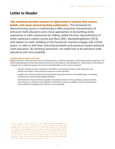# <span id="page-4-0"></span>Letter to Reader

This workbook provides teachers an opportunity to examine their actions, beliefs, and values around teaching mathematics. The framework for deconstructing racism in mathematics offers essential characteristics of antiracist math educators and critical approaches to dismantling white supremacy in math classrooms by making visible the toxic characteristics of white supremacy culture ([Jones and Okun 2001](https://www.thc.texas.gov/public/upload/preserve/museums/files/White_Supremacy_Culture.pdf); [dismantlingRacism 2016\)](https://resourcegeneration.org/wp-content/uploads/2018/01/2016-dRworks-workbook.pdf) with respect to math. Building on the framework, teachers engage with critical praxis<sup>1</sup> in order to shift their instructional beliefs and practices toward antiracist math education. By centering antiracism, we model how to be antiracist math educators with accountability.

#### CONSIDERATIONS FOR USE

While primarily for math educators, this text advocates for a collective approach to dismantling white supremacy. This school-wide approach ensures that antiracist work is not left alone to one individual (i.e., math teacher or the director of equity), but to enlist the support and voice of all stakeholders in the school ecosystem.

- Teachers should use this workbook to self-reflect on individual practices in the classroom and identify next steps in their antiracist journey as a math educator.
- Leaders and coaches should use the framework during observations and walkthroughs, annotating the behaviors and providing targeted feedback.
- Administrators should examine programs and policies and how white supremacy impacts student outcomes (e.g., tracking, course selection, intervention rosters). In addition, they can hold teachers accountable for completing the activities in this workbook.

<sup>1</sup> Critical praxis: "Ernest Morrell and Jeff Duncan-Andrade acknowledge that critical praxis in the classroom involves a continuous, self-reflective cycle between theory and action as follows: (a) identifying a problem, (b) researching the problem, (c) developing a collective plan of action to address that problem, (d) implementing the collective plan of action, and (e) evaluating the action and assessing its efficacy in reexamining the state of the problem. Thus, critical praxis involves a constant path of evaluating thought with action, theory with practice, in the effort to gain a higher consciousness for positive change upon the world." (McLaren, Ryoo, Crawford, & Moreno, 2010, p. 151).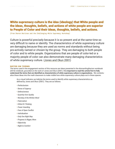# White supremacy culture is the idea (ideology) that White people and the ideas, thoughts, beliefs, and actions of white people are superior to People of Color and their ideas, thoughts, beliefs, and actions.

[from Sharon Martinas and the Challenging White Supremacy Workshop]

Culture is powerful precisely because it is so present and at the same time so very difficult to name or identify. The characteristics of white supremacy culture are damaging because they are used as norms and standards without being pro-actively named or chosen by the group. They are damaging to both people of color and to white people. Organizations that are people of color-led or a majority people of color can also demonstrate many damaging characteristics of white supremacy culture. ([Jones and Okun 2001\)](https://www.thc.texas.gov/public/upload/preserve/museums/files/White_Supremacy_Culture.pdf)

#### NOTES ON TERMS

The terms used in the engagement section of this resource are ideas presented in the dismantlingRacism workbook (2016) notebook, grounded on the work of Jones and Okun (2001). **It is important to read this article first to fully understand the terms that are identified as characteristics of white supremacy culture in organizations.** We contextualize these ideas into the math classroom to make visible how white supremacy culture plays out in these spaces.

As a visual indicator, we italicize the terms used to identify white supremacy characteristics as defined by Jones and Okun (2001). They are as follows:

- *Perfectionism*
- *Sense of Urgency*
- *Defensiveness*
- *Quantity Over Quality*
- *Worship of the Written Word*
- *Paternalism*
- *Either/Or Thinking*
- *Power Hoarding*
- *Fear of Open Conflict*
- *Individualism*
- *Only One Right Way*
- *Progress is Bigger, More*
- *Objectivity*
- *Right to Comfort*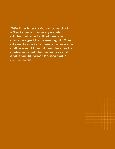"We live in a toxic culture that affects us all; one dynamic of the culture is that we are discouraged from seeing it. One of our tasks is to learn to see our culture and how it teaches us to make normal that which is not and should never be normal."

([dismantlingRacism 2016\)](https://resourcegeneration.org/wp-content/uploads/2018/01/2016-dRworks-workbook.pdf)

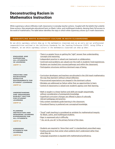# <span id="page-7-0"></span>Deconstructing Racism in Mathematics Instruction

White supremacy culture infiltrates math classrooms in everyday teacher actions. Coupled with the beliefs that underlie these actions, they perpetuate educational harm on Black, Latinx, and multilingual students, denying them full access to the world of mathematics.The table below identifies the ways in which white supremacy shows up in math classrooms.

#### DISMANTLING WHITE SUPREMACY CULTURE IN MATH CLASSROOMS

We see white supremacy culture show up in the mathematics classroom even as we carry out our professional responsibilities outlined in the California Standards for the Teaching Profession (CSTP). Using CSTPas a framework, we see white supremacy culture in the mathematics classroom can show up when:

| <b>ENGAGING AND</b><br><b>SUPPORTING</b><br><b>ALL STUDENTS</b><br><b>IN LEARNING</b><br>(CSTP 1)                                           | . There is a greater focus on getting the "right" answer than understanding<br>concepts and reasoning.<br>· Independent practice is valued over teamwork or collaboration.<br>. Contrived word problems are valued over the math in students' lived experiences.<br>· Students are tracked (into courses/pathways and within the classroom).<br>· Participation structures reinforce dominant ways of being. |
|---------------------------------------------------------------------------------------------------------------------------------------------|--------------------------------------------------------------------------------------------------------------------------------------------------------------------------------------------------------------------------------------------------------------------------------------------------------------------------------------------------------------------------------------------------------------|
| <b>CREATING AND</b><br><b>MAINTAINING</b><br><b>EFFECTIVE</b><br><b>ENVIRONMENTS FOR</b><br><b>STUDENT LEARNING</b><br>(CSTP <sub>2</sub> ) | . Curriculum developers and teachers enculturated in the USA teach mathematics<br>the way they learned it without critical reflection.<br>· Preconceived expectations are steeped in the dominant culture.<br>· Mistakes are addressed as failure rather than as opportunities to learn.<br>. Control of classrooms is valued over student's agnecy over their learning.                                     |
| <b>UNDERSTANDING</b><br><b>AND ORGANIZING</b><br><b>SUBJECT MATTER</b><br><b>FOR STUDENT</b><br><b>LEARNING</b><br>(CSTP <sub>3</sub> )     | . Math is taught in a linear fashion and skills are taught sequentially,<br>without consideration of prerequisite knowledge.<br>· Superficial curriculum changes are offered in place of culturally<br>relevant pedagogy and practice.<br>. Only content standards guide learning in the classroom.<br>· Procedural fluency is preferred over conceptual knowledge.                                          |
| <b>PLANNING</b><br><b>INSTRUCTION AND</b><br><b>DESIGNING LEARNING</b><br><b>EXPERIENCES FOR</b><br><b>ALL STUDENTS</b><br>(CSTP 4)         | . "Good" math teaching is considered an antidote for mathematical inequity<br>for Black, Latinx, and multilingual students.<br>· Rigor is expressed only in difficulty.<br>. "I do, we do, you do" is the primary format of the class.                                                                                                                                                                       |
| <b>ASSESSING</b><br><b>STUDENTS FOR</b><br><b>LEARNING</b><br>(CSTP <sub>5</sub> )                                                          | . Students are required to "show their work" in standardized, prescribed ways.<br>. Grading practices that center what sutdents don't understand rather than<br>what they do.<br>. Language acquisition is equated with mathematical proficiency.                                                                                                                                                            |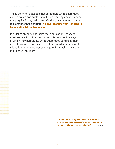These common practices that perpetuate white supremacy culture create and sustain institutional and systemic barriers to equity for Black, Latinx, and Multilingual students. In order to dismantle these barriers, we must identify what it means to be an antiracist math educator.

In order to embody antiracist math education, teachers must engage in critical praxis that interrogates the ways in which they perpetuate white supremacy culture in their own classrooms, and develop a plan toward antiracist math education to address issues of equity for Black, Latinx, and multilingual students.

> "The only way to undo racism is to consistently identify and describe it—and then dismantle it." ([Kendi 2019\)](https://resourcegeneration.org/wp-content/uploads/2018/01/2016-dRworks-workbook.pdf)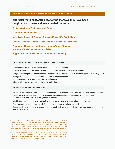#### <span id="page-9-0"></span>CHARACTERISTICS OF ANTIRACIST MATH EDUCATORS

# Antiracist math educators deconstruct the ways they have been taught math to learn and teach math differently.

**Design a Culturally Sustaining<sup>2</sup> Math Space**

**Center Ethnomathematics<sup>3</sup>**

**Make Rigor Accessible Through Strong and Thoughtful Scaffolding**

**Prepare Students of Color to Close The Gap in Access to STEM Fields**

**Embrace and Encourage Multiple and Varying Ways of Sharing, Showing, and Communicating Knowledge**

**Support Students to Reclaim their Mathematical Ancestry** 

#### DESIGN A CULTURALLY SUSTAINING MATH SPACE

- Use culturally relevant, antiracist pedagogy, practices, and curriculum.
- Cultivate mathematical identity so that everyone can see themselves as mathematicians.
- Design homework policies that are responsive to the lives of students of color in order to support their learning needs.
- Recognize and name the mathematical strengths of students of color, and teach them to recognize these strengths in themselves and others.
- Intentionally integrate physical movement in math classes.

#### CENTER ETHNOMATHEMATICS

- Recognize the ways that communities of color engage in mathematics and problem solving in their everyday lives.
- Teach that mathematics can help solve problems affecting students' communities. Model the use of math as a solution to their immediate problems, needs, or desires.
- Identify and challenge the ways that math is used to uphold capitalist, imperialist, and racist views.
- Teach the value of math as both an abstract concept and as a useful everyday tool.
- Expose students to examples of people who have used math as resistance. Provide learning opportunities that use math as resistance.

<sup>2</sup> "Culturally Sustaining Pedagogy views schools as places where the cultural ways of being in communities of color are sustained, rather than eradicated.… Culturally Sustaining Pedagogy promotes equality across racial and ethnic communities and seeks to ensure access and opportunity. Culturally Sustaining Pedagogy also supports students to critique and question dominant power structures in societies." ([https://www.cde.ca.gov/pd/ee/culturallysustainingped.asp\)](https://www.cde.ca.gov/pd/ee/culturallysustainingped.asp)

<sup>&</sup>lt;sup>3</sup> "The term ethnomathematics is used to express the relationship between culture and mathematics. The term requires a dynamic interpretation because it describes concepts that are themselves neither rigid nor singular—namely, ethno and mathematics(D'Ambrosio 1987)." (D'Ambrosio 2001)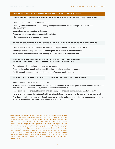### CHARACTERISTICS OF ANTIRACIST MATH EDUCATORS **(continued)**

#### MAKE RIGOR ACCESSIBLE THROUGH STRONG AND THOUGHTFUL SCAFFOLDING

- Teach rich, thoughtful, complex mathematics.
- Teach rigorous mathematics, understanding that rigor is characterized as thorough, exhaustive, and interdisciplinary.
- Use mistakes as opportunities for learning.
- Recognize mistakes as miscommunicated knowledge.
- Allow for engagement in productive struggle.**<sup>4</sup>**

#### PREPARE STUDENTS OF COLOR TO CLOSE THE GAP IN ACCESS TO STEM FIELDS

- Teach students of color about the career and financial opportunities in math and STEM fields.
- Encourage them to disrupt the disproportionate push-out of people of color in those fields.
- Invite leaders and innovators of color working in STEAM fields to meet your students.

#### EMBRACE AND ENCOURAGE MULTIPLE AND VARYING WAYS OF SHARING, SHOWING, AND COMMUNICATING KNOWLEDGE

- Rely on teamwork and collaboration as much as possible.
- Teach mathematics through project-based learning and other engaging approaches.
- Provide multiple opportunities for students to learn from and teach each other.

#### SUPPORT STUDENTS TO RECLAIM THEIR MATHEMATICAL ANCESTRY

- Intentionally include mathematicians of color.
- Expose students to mathematicians of color, particularly women of color and queer mathematicians of color, both through historical examples and by inviting community guest speakers.
- Teach students of color about their mathematical legacy and ancestral connection and mastery of math.
- Honor and acknowledge the mathematical knowledge of students of color, even if it shows up unconventionally.
- Give rightful credit to the discovery of math concepts by mathematicians of color. Reclaim concepts attributed to white mathematicians that should be attributed to mathematicians of color.

<sup>4</sup> Some struggle in learning is good, but there is a key distinction to be made between productive struggle and destructive struggle. Productive struggle allows students the space to grapple with information and come up with the solution for themselves. It develops resilience and persistence, and helps students refine their own strategies for learning. In productive struggle, there is a light at the end of the tunnel; learning goals not only are clear but also seem achievable. Although students face difficulty, they grasp the point of the obstacles they face and believe that they will overcome these obstacles in the end. Destructive struggle is different. Students cannot see how the difficulty or confusion they're experiencing will lead to any beneficial outcome. Learning goals seem unclear, even impossible. These students feel like their efforts are in vain, and they get frustrated and give up." (Robyn R. Jackson and Claire Lambert 2010)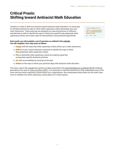# <span id="page-11-0"></span>Critical Praxis: Shifting toward Antiracist Math Education

Teachers, in order to shift your practice toward antiracist math education, it is necessary to critically examine the ways in which white supremacy culture permeates your own math classrooms. These exercises are designed as a year-long process of reflection and planning in order to identify the ways in which your practice may perpetuate white supremacy culture, and create a plan for dismantling it using antiracist approaches.

#### Each month, you will complete a set of exercises as outlined in the [calendar.](#page-12-0) You will complete a five-step cycle as follows:

- **1.** Engage with the ways that white supremacy culture shows up in math classrooms.
- **2.** Reflect on your current classroom practices to identify the ways in which they perpetuate white supremacy culture.
- **3.** Plan to dismantle white supremacy culture by creating a goal that incorporates specific antiracist practices
- **4.** Act with accountability by carrying out the plan.
- **5.** Reflect on the ways in which your practices align with antiracist math education.

The terms used in the engagement section are ideas presented in the [dismantlingRacism workbook \(2016\)](https://resourcegeneration.org/wp-content/uploads/2018/01/2016-dRworks-workbook.pdf) notebook, grounded on the work of [Jones and Okun \(2001\)](https://www.thc.texas.gov/public/upload/preserve/museums/files/White_Supremacy_Culture.pdf). It is important to read this article first to fully understand some of the terms and how white supremacy culture shows up in organizations. We contextualize these ideas into the math classroom to visibilize how white supremacy culture plays out in these spaces.

THIS CONNECTS TO CSTP 6: DEVELOPING AS A PROFESSIONAL EDUCATION  $6.1 \div 6.2 \div 6.3$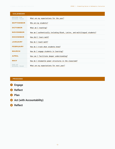<span id="page-12-0"></span>

| <b>CALENDAR</b>                         |                                                                            |
|-----------------------------------------|----------------------------------------------------------------------------|
| <b>BEFORE THE</b><br><b>SCHOOL YEAR</b> | What are my expectations for the year?                                     |
| <b>SEPTEMBER</b>                        | Who are my students?                                                       |
| <b>OCTOBER</b>                          | What am I teaching?                                                        |
| <b>NOVEMBER</b>                         | How am I authentically including Black, Latinx, and multilingual students? |
| <b>DECEMBER</b>                         | How did I learn math?                                                      |
| <b>JANUARY</b>                          | How do I teach math?                                                       |
| <b>FEBRUARY</b>                         | How do I track what students know?                                         |
| <b>MARCH</b>                            | How do I engage students in learning?                                      |
| <b>APRIL</b>                            | How can I facilitate deeper understanding?                                 |
| <b>MAY</b>                              | How do I dismantle power structures in the classroom?                      |
| <b>END OF</b><br><b>SCHOOL YEAR</b>     | What are my expectations for next year?                                    |

# PROCESS

- **D** Engage
- 2 Reflect
- **3** Plan
- **Act (with Accountability)**
- **5** Reflect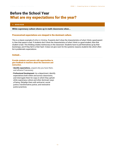# <span id="page-13-0"></span>Before the School Year What are my expectations for the year?

### 1. ENGAGE

White supremacy culture shows up in math classrooms when...

### Preconceived expectations are steeped in the dominant culture.

This is a classic example of *either/or thinking*. If parents don't show the characteristics of what I think a good parent is, then that parent is bad. If students don't show the characteristics of what I think is a good student, then that student is bad. This thinking creates meritocracy in the classroom: Students have to pull themselves up by their bootstraps, and if they fail it is their fault. It does not give room for the systemic reasons students fail, which often lie in problematic expectations.

### Instead...

Provide students and parents with opportunities to give feedback to teachers about the classroom and instruction.

- Identify expectations, unpack why you have them, and reframe if necessary.
- Professional Development: As a department, identify expectations both within and across classrooms, and interrogate them for ways in which they uphold white supremacy culture and other dominant ways of being. (Re)align them with antiracist, social justice, transformative justice, and restorative justice practices.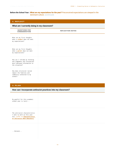#### Before the School Year : What are my expectations for the year? Preconceived expectations are steeped in the dominant culture. (continued)

# What am I currently doing in my classroom? QUESTIONS FOR CONSIDERATION REFLECTION NOTES 2. REFLECT What are my first thoughts when a **student** does not meet my expectations? What are my first thoughts when a **parent** does not meet my expectations? How can I reframe my thinking and judgement and incorporate more unbiased information to the situation? How does structural racism impact the families and community connected to my school?

# 3. PLAN

| My goal(s) for this academic<br>school year is (are)                                                                            |  |  |
|---------------------------------------------------------------------------------------------------------------------------------|--|--|
| The antiracist characteristics<br>I want to work on this year<br>are (refer to Characteristics<br>of Antiracist Math Educators) |  |  |
| because                                                                                                                         |  |  |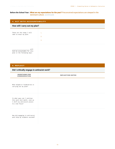### Before the School Year : What are my expectations for the year? Preconceived expectations are steeped in the dominant culture. (continued)

| <b>4. ACT WITH ACCOUNTABILITY</b>                                   |                |  |
|---------------------------------------------------------------------|----------------|--|
| How will I carry out my plan?                                       |                |  |
| These are the steps I will<br>take to enact my plan:                | 1.<br>2.<br>3. |  |
| will<br>hold me accountable for this<br>plan in the following ways: |                |  |

# 5. REFLECT

# Did I critically engage in antiracist work?

| <b>QUESTIONS FOR</b><br><b>CONSIDERATION</b>                                                                    | <b>REFLECTION NOTES</b> |
|-----------------------------------------------------------------------------------------------------------------|-------------------------|
| What helped or hindered me in<br>carrying out my plan?                                                          |                         |
| In what ways can I continue<br>this work next month, even as<br>I shift my antiracist praxis<br>to a new focus? |                         |
| How did engaging in antiracist<br>work help my students succeed?                                                |                         |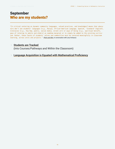# <span id="page-16-0"></span>September Who are my students?

"[A critical centering on dynamic community languages, valued practices, and knowledges] means that educators don't see students' languages (e.g., Navajo, African-American Language, Spanish, 'standard' English), literacies (e.g., Hip Hop, poetry, social media, street art) or ways of being (e.g., spiritual beliefs, ways of relating to adults and elders) as somehow marginal or to simply be added to the existing curriculum. Rather, these facets of students' selves and communities must be centered meaningfully in classroom learning, across units and projects." ([Paris and Alim,](https://blogs.edweek.org/teachers/classroom_qa_with_larry_ferlazzo/2017/07/author_interview_culturally_sustaining_pedagogies.html) in conversation with Larry Ferlazzo)

# **[Students are Tracked](#page-17-0)**

(Into Courses/Pathways and Within the Classroom)

# **[Language Acquisition is Equated with Mathematical Proficiency](#page-20-0)**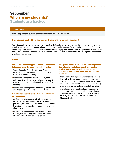# <span id="page-17-0"></span>September Who are my students? Students are tracked.

### 1. ENGAGE

White supremacy culture shows up in math classrooms when...

### **Students are tracked** (into courses/pathways and within the classroom).

Too often students are tracked based on the notion that adults know what the right thing is for them, which does not allow room for student agency, reinforcing *paternalism* and *powerhoarding*. Often, placement into different tracks reflect subjective metrics of innate ability without acknowledging prior opportunities or experiences. Following the same vein, leadership often decides which teacher is right for which course without allowing input from the teachers, students, or parents.

### Instead...

Provide students with opportunities to give feedback to teachers about the classroom and instruction.

- Verbal Example: *Fist to five, How well do you understand what we talked about today? Fist to five, How well did I teach this today?*
- Classroom Activity: Exit tickets or surveys that ask students to identify how well teachers taught, what helped them learn, what got in the way of their learning, etc.
- Professional Development: Conduct regular surveys and disaggregate data on teacher practices.

#### Consider how students are tracked even within your own classroom.

- Professional Development: Identify ways of tracking inside the classroom (seating charts, pairings/ groupings, etc), and conduct walkthroughs to assess the extent to which tracking is occurring—and offer alternatives.
- Professional Development: Learn the ways that tracking can have a negative impact on student identity and mathematical achievement.

Incorporate a more robust course selection process that allows for multiple perspectives, including student, parent, current and previous teachers, advisors, and others who might also have relevant information.

- Professional Development: Challenge the notion that if a student did not pass one course they will not be "successful" in the next course. See math is taught in a linear fashion and skills are taught sequentially, without consideration of prerequisite knowledge
- Administrators and Leaders: Create a process to ensure that you are intentional about meeting the criteria of Senate Bill 359 (Chapter 508, Statutes of 2015), known as the California Mathematics Placement Act of 2015.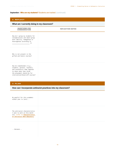# September : Who are my students? Students are tracked. (continued)

### 2. REFLECT

# What am I currently doing in my classroom?

| <b>QUESTIONS FOR</b><br><b>CONSIDERATION</b>                                                                                                                                              | <b>REFLECTION NOTES</b> |
|-------------------------------------------------------------------------------------------------------------------------------------------------------------------------------------------|-------------------------|
| How do I group my students for<br>collaborations and small-group<br>work (ability, homogenous or<br>heterogenous according to<br>$)$ ?                                                    |                         |
| Who is not present in the<br>gifted and honors courses?                                                                                                                                   |                         |
| How do stakeholders (e.g.,<br>students, parents, teachers,<br>and counselors) come together<br>to share what they think<br>the placement should be for<br>intervention/honors/AP courses? |                         |

# 3. PLAN

| My goal(s) for this academic<br>school year is (are)                                                                             |  |
|----------------------------------------------------------------------------------------------------------------------------------|--|
| The antiracist characteristics<br>I want to work on this month<br>are (refer to Characteristics<br>of Antiracist Math Educators) |  |
| because                                                                                                                          |  |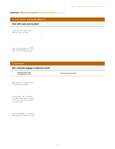# September : Who are my students? Students are tracked. (continued)

| <b>4. ACT WITH ACCOUNTABILITY</b>                                   |                |  |
|---------------------------------------------------------------------|----------------|--|
| How will I carry out my plan?                                       |                |  |
| These are the steps I will<br>take to enact my plan:                | 1.<br>2.<br>3. |  |
| will<br>hold me accountable for this<br>plan in the following ways: |                |  |

# 5. REFLECT

Did I critically engage in antiracist work?

| <b>QUESTIONS FOR</b><br><b>CONSIDERATION</b>                                                                    | <b>REFLECTION NOTES</b> |
|-----------------------------------------------------------------------------------------------------------------|-------------------------|
| What helped or hindered me in<br>carrying out my plan?                                                          |                         |
| In what ways can I continue<br>this work next month, even as<br>I shift my antiracist praxis<br>to a new focus? |                         |
| How did engaging in antiracist<br>work help my students succeed?                                                |                         |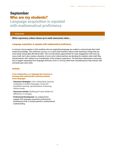# <span id="page-20-0"></span>September Who are my students?

Language acquisition is equated with mathematical proficiency.

### 1. ENGAGE

White supremacy culture shows up in math classrooms when...

# Language acquisition is equated with mathematical proficiency.

A common misconception is that students who are negotiating language are unable to communicate their mathematical knowledge. This reinforces *quantity over quality* when teachers reduce math teaching to things that are more easily measurable, like literal math. This not only denies opportunities for more engagement with more rigorous math, but it also creates a dynamic of *paternalism* where teachers are deciding for students what math they should interact with, without true consideration of the student's experience. The idea that mathematics instruction has to happen separately from language reinforces *either/or thinking* rather than considering how they interact with and build upon each other.

# Instead...

#### Treat mathematics as a language that everyone is learning while authentically centering students home languages.

- Classroom Strategies: Color-coding ideas, learning vocabulary in student languages, visual and kinesthetic learning, representations of learning without words.
- Classroom Activity: Multilingual Frayer Models for definitions or concepts.
- Professional Development: As a department, engage with language acquisition professional development that is contextualized in mathematical understanding.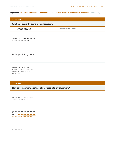# September : Who are my students? Language acquisition is equated with mathematical proficiency . (continued)

| 2. REFLECT                                                                                        |                         |  |  |
|---------------------------------------------------------------------------------------------------|-------------------------|--|--|
| What am I currently doing in my classroom?                                                        |                         |  |  |
| <b>QUESTIONS FOR</b><br><b>CONSIDERATION</b>                                                      | <b>REFLECTION NOTES</b> |  |  |
| How do I work with students who<br>are navigating language?                                       |                         |  |  |
| In what ways do I communicate<br>mathematics noverbally?                                          |                         |  |  |
| In what ways do I honor<br>students' native tongues and<br>incorporate them into my<br>classroom? |                         |  |  |

# 3. PLAN

| My goal(s) for this academic<br>school year is (are)                                                                             |  |  |
|----------------------------------------------------------------------------------------------------------------------------------|--|--|
| The antiracist characteristics<br>I want to work on this month<br>are (refer to Characteristics<br>of Antiracist Math Educators) |  |  |
| because                                                                                                                          |  |  |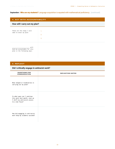# September : Who are my students? Language acquisition is equated with mathematical proficiency . (continued)

| <b>4. ACT WITH ACCOUNTABILITY</b>                                   |                |  |
|---------------------------------------------------------------------|----------------|--|
| How will I carry out my plan?                                       |                |  |
| These are the steps I will<br>take to enact my plan:                | 1.<br>2.<br>3. |  |
| will<br>hold me accountable for this<br>plan in the following ways: |                |  |

# 5. REFLECT

Did I critically engage in antiracist work?

| <b>QUESTIONS FOR</b><br><b>CONSIDERATION</b>                                                                    | <b>REFLECTION NOTES</b> |
|-----------------------------------------------------------------------------------------------------------------|-------------------------|
| What helped or hindered me in<br>carrying out my plan?                                                          |                         |
| In what ways can I continue<br>this work next month, even as<br>I shift my antiracist praxis<br>to a new focus? |                         |
| How did engaging in antiracist<br>work help my students succeed?                                                |                         |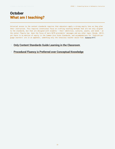# <span id="page-23-0"></span>**October** What am I teaching?

Universal access to the content standards requires that educators apply a strong equity lens as they plan their instruction. This requires intentional focus on crafting teaching methods that are not only aligned to the standards, but that are designed with students – their identities, cultures, assets, and needs – at the center."Equity has been the focus of more NCTM presidents' messages and any other topic (Gojak, 2012), yet there is no mention of equity in the Common Core State Standards, and accommodations for 'English/Lan-guage learners' are in an appendix, something only the tenacious teacher would find. ([Gutierrez](https://www.researchgate.net/publication/325828792_Political_conocimiento_for_teaching_mathematics_Why_teachers_need_it_and_how_to_develop_it) 2017)

#### **Only Conten[t Standards Guide Learning in the Classroom](#page-24-0)**   $\geq$

#### **[Procedural Fluency is Preferred over Conceptual Knowledge](#page-27-0)** $\geq$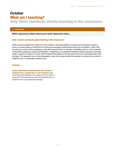# <span id="page-24-0"></span>**October** What am I teaching? Only State standards dictate learning in the classroom.

### 1. ENGAGE

White supremacy culture shows up in math classrooms when...

#### Only content standards guide learning in the classroom.

While access to grade-level content for every student is the responsibility of schools and essential for equity, a focus on content alone is insufficient for achieving meaningful mathematical power for all students. When only focusing on content without applying a culturally responsive lens or strategic scaffolding, there is a risk of perpetuating white supremacy culture and inequities. A hyperfocus on individual standards requires teachers to function under a system of *urgency* to "cover" all the material that will be on the test and not focus on actual learning of the big ideas. This approach is not only disengaging, it also limits opportunities for teachers to connect the content to students' lives in meaningful, relevant ways.

#### Instead...

Frame mathematics learning within the context of students' lives, and link them to the standards (see Contrived word problems are valued over the math in students' lived experiences and Procedural fluency is preferred over conceptual knowledge).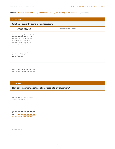#### **October : What am I teaching?** Only content standards guide learning in the classroom. (continued)

# What am I currently doing in my classroom? QUESTIONS FOR CONSIDERATION REFLECTION NOTES 2. REFLECT How do I manage the conflicting demands of the time I have to teach all the grade-level standards and knowing my students need time to learn math at a deeper level? How do I negotiate what learning should happen in the classroom? What is the danger of teaching only content-based instruction?

# 3. PLAN

| My goal(s) for this academic<br>school year is (are)                                                                             |  |
|----------------------------------------------------------------------------------------------------------------------------------|--|
| The antiracist characteristics<br>I want to work on this month<br>are (refer to Characteristics<br>of Antiracist Math Educators) |  |
| because                                                                                                                          |  |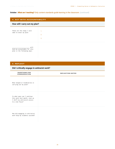# **October : What am I teaching?** Only content standards guide learning in the classroom. (continued)

| <b>4. ACT WITH ACCOUNTABILITY</b>                                   |                |  |
|---------------------------------------------------------------------|----------------|--|
| How will I carry out my plan?                                       |                |  |
| These are the steps I will<br>take to enact my plan:                | 1.<br>2.<br>3. |  |
| will<br>hold me accountable for this<br>plan in the following ways: |                |  |

# 5. REFLECT

Did I critically engage in antiracist work?

| <b>QUESTIONS FOR</b><br><b>CONSIDERATION</b>                                                                    | <b>REFLECTION NOTES</b> |
|-----------------------------------------------------------------------------------------------------------------|-------------------------|
| What helped or hindered me in<br>carrying out my plan?                                                          |                         |
| In what ways can I continue<br>this work next month, even as<br>I shift my antiracist praxis<br>to a new focus? |                         |
| How did engaging in antiracist<br>work help my students succeed?                                                |                         |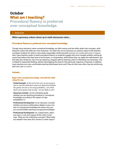# <span id="page-27-0"></span>**October** What am I teaching? Procedural fluency is preferred over conceptual knowledge.

#### 1. ENGAGE

White supremacy culture shows up in math classrooms when...

### Procedural fluency is preferred over conceptual knowledge.

Though many educators value conceptual knowledge, we often assess and test skills rather than concepts, solidifying the notion that skills are more important. Too often this occurs because our systems expect math teachers to prepare students for what is more easily measurable, reinforcing both *quantity over quality* and *sense of urgency*. Also, many teachers prefer to teach procedural fluency so students engage with more complex problem solving because they believe that they have to do the basic, or computation, skills before they can apply the mathematics. But that idea also reinforces *objectivity* by requiring a singular path for learning, which is oftentimes not necessary. This is related to sequential thinking, without interrogating the need for that particular sequence of learning. In addition, many teachers are more comfortable teaching skills-based work, and if they do that more often, they are reinforcing their own *right to comfort*.

#### Instead...

#### Begin with conceptual knowledge, and build the skills along the way.

- Verbal Example: *At the end of the unit, we are going to have a carnival celebration where we determine whether the games are fair or not using probability. Let's think about some games that we play. Are you likely to win?*
- Classroom Activity: Let the standards guide whether you are teaching procedural or conceptual knowledge according to the aspect of rigor embedded in it.
- Professional Development: As an educator, consider whether you know mathematics deeply: Is your own lack of conceptual knowledge the reason why you are uncomfortable teaching conceptual knowledge?
- Professional Development: As a department, select one topic or unit and unpack all the math in that topic. What are the underlying concepts? What skills are needed? How does this connect to other topics?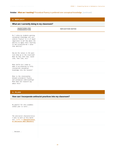# **October : What am I teaching?** Procedural fluency is preferred over conceptual knowledge. (continued)

### 2. REFLECT

# What am I currently doing in my classroom?

| <b>QUESTIONS FOR</b><br><b>CONSIDERATION</b>                                                                                                                                                                               | <b>REFLECTION NOTES</b> |
|----------------------------------------------------------------------------------------------------------------------------------------------------------------------------------------------------------------------------|-------------------------|
| Do I value my students gaining<br>conceptual knowledge over pro-<br>cedural fluency? Is it of equal<br>importance to me? How about the<br>ability to apply their learning<br>to new situations-do I value<br>that ability? |                         |
| How do the values in the ques-<br>tion show up in the classroom?<br>What do they look like, sound<br>like, feel like, etc?                                                                                                 |                         |
| What shifts do I need to<br>make in my planning to fully<br>incorporate conceptual<br>knowledge into the lessons?                                                                                                          |                         |
| What is the relationship<br>between procedural fluency<br>and conceptual understanding?<br>What does the research say<br>about this?                                                                                       |                         |

# 3. PLAN

| My goal(s) for this academic<br>school year is (are)                                                                             |  |  |
|----------------------------------------------------------------------------------------------------------------------------------|--|--|
| The antiracist characteristics<br>I want to work on this month<br>are (refer to Characteristics<br>of Antiracist Math Educators) |  |  |
| because                                                                                                                          |  |  |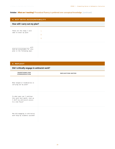# **October : What am I teaching?** Procedural fluency is preferred over conceptual knowledge. (continued)

| <b>4. ACT WITH ACCOUNTABILITY</b>                                   |                |
|---------------------------------------------------------------------|----------------|
| How will I carry out my plan?                                       |                |
| These are the steps I will<br>take to enact my plan:                | 1.<br>2.<br>3. |
| will<br>hold me accountable for this<br>plan in the following ways: |                |

# 5. REFLECT

Did I critically engage in antiracist work?

| <b>QUESTIONS FOR</b><br><b>CONSIDERATION</b>                                                                    | <b>REFLECTION NOTES</b> |
|-----------------------------------------------------------------------------------------------------------------|-------------------------|
| What helped or hindered me in<br>carrying out my plan?                                                          |                         |
| In what ways can I continue<br>this work next month, even as<br>I shift my antiracist praxis<br>to a new focus? |                         |
| How did engaging in antiracist<br>work help my students succeed?                                                |                         |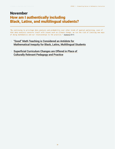# <span id="page-30-0"></span>November How am I authentically including Black, Latinx, and multilingual students?

"By continuing to privilege data analysis and probability over other kinds of spatial patterning, even if that data analysis concerns itself with issues such as climate change, we run the risk of limiting new ways of doing mathematics and our relationships to the practice." ([Gutierrez](https://www.researchgate.net/publication/325828792_Political_conocimiento_for_teaching_mathematics_Why_teachers_need_it_and_how_to_develop_it) 2017)

- **["Good" Math Teaching is Considered an Antidote for](#page-31-0)**   $\left\langle \cdot\right\rangle$ **[Mathematical Inequity for Black, Latinx, Multilingual Students](#page-31-0)**
- **[Superficial Curriculum Changes are Offered in Place of](#page-34-0)**   $\left\langle \cdot\right\rangle$ **[Culturally Relevant Pedagogy and Practice](#page-34-0)**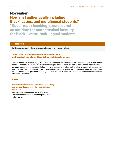# <span id="page-31-0"></span>November How am I authentically including Black, Latinx, and multilingual students?

"Good" math teaching is considered an antidote for mathematical inequity for Black, Latinx, multilingual students.

### 1. ENGAGE

White supremacy culture shows up in math classrooms when...

# "Good" math teaching is considered an antidote for mathematical inequity for Black, Latinx, multilingual students.

"Best practices" for math pedagogy often exclude the unique needs of Black, Latinx and multilingual or migrant students. This reinforces *either/or thinking* by reinforcing stereotypes about the type of mathematical education that certain groups of students receive. It allows the *defensiveness* of Western mathematics to prevail, without addressing underlying causes of why certain groups of students are "underperforming," a characterization that should also be interrogated. It also presupposes that "good" math teaching is about a Eurocentric type of mathematics, devoid of cultural ways of being.

#### Instead...

Learn about authentic and cultural ways of teaching and learning that represent the students in your classroom.

• Professional Development: As a department, study ethnomathematics and incorporate into all classrooms.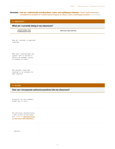### November : How am I authentically including Black, Latinx, and multilingual students? "Good" math teaching is considered an antidote for mathematical inequity for Black, Latinx, multilingual students. (continued)

| 2. REFLECT                                                                                                            |                         |  |
|-----------------------------------------------------------------------------------------------------------------------|-------------------------|--|
| What am I currently doing in my classroom?                                                                            |                         |  |
| <b>QUESTIONS FOR</b><br><b>CONSIDERATION</b>                                                                          | <b>REFLECTION NOTES</b> |  |
| What do I consider is good math<br>teaching?                                                                          |                         |  |
| What have I learned about the<br>system I work in and how it<br>affects the academic success<br>of students of color? |                         |  |
| Who considers "good math<br>teaching" is an antidote for<br>math inequity?                                            |                         |  |

# 3. PLAN

| My goal(s) for this academic<br>school year is (are)                                                                             |  |  |
|----------------------------------------------------------------------------------------------------------------------------------|--|--|
| The antiracist characteristics<br>I want to work on this month<br>are (refer to Characteristics<br>of Antiracist Math Educators) |  |  |
| because                                                                                                                          |  |  |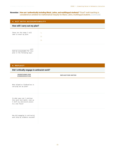### November : How am I authentically including Black, Latinx, and multilingual students? "Good" math teaching is considered an antidote for mathematical inequity for Black, Latinx, multilingual students. (continued)

| <b>4. ACT WITH ACCOUNTABILITY</b>                                   |                |
|---------------------------------------------------------------------|----------------|
| How will I carry out my plan?                                       |                |
| These are the steps I will<br>take to enact my plan:                | 1.<br>2.<br>3. |
| will<br>hold me accountable for this<br>plan in the following ways: |                |

# 5. REFLECT

# Did I critically engage in antiracist work?

| <b>QUESTIONS FOR</b><br><b>CONSIDERATION</b>                                                                    | <b>REFLECTION NOTES</b> |
|-----------------------------------------------------------------------------------------------------------------|-------------------------|
| What helped or hindered me in<br>carrying out my plan?                                                          |                         |
| In what ways can I continue<br>this work next month, even as<br>I shift my antiracist praxis<br>to a new focus? |                         |
| How did engaging in antiracist<br>work help my students succeed?                                                |                         |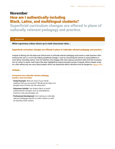# <span id="page-34-0"></span>November How am I authentically including Black, Latinx, and multilingual students?

Superficial curriculum changes are offered in place of culturally relevant pedagogy and practice.

### 1. ENGAGE

White supremacy culture shows up in math classrooms when...

#### Superficial curriculum changes are offered in place of culturally relevant pedagogy and practice.

Instead of delving into the deep and critical work of culturally relevant pedagogy and practice, math teachers often reinforce the *right to comfort* by making superficial changes—such as converting the names in word problems to more ethnic sounding names. Even for teachers who engage with more rigorous practices often limit the incorporation of culture to easier math topics like data, highlighting inequity between groups of people without deeper analysis, often telling only one story about people, which can perpetuate deficit narratives and be dangerous ([Adichie,](https://www.ted.com/talks/chimamanda_ngozi_adichie_the_danger_of_a_single_story?language=en ) 2009).

#### Instead...

#### Incorporate true culturally relevant pedagogy, practice, and curriculum.

- Verbal Example: *What are some of your family traditions that you are proud of? Would you be okay if we brought some of those into the classroom?*
- Classroom Activity: Use Ankara fabric to teach mathematical concepts such as tessellations, fractions, area, percentages, etc.
- Professional Development: Get training on culturally relevant pedagogy specific to math content, as well as teaching math content.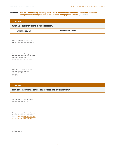### November : How am I authentically including Black, Latinx, and multilingual students? Superficial curriculum changes are offered in place of culturally relevant pedagogy and practice. (continued)

| 2. REFLECT                                                                                                            |                         |  |  |  |  |
|-----------------------------------------------------------------------------------------------------------------------|-------------------------|--|--|--|--|
| What am I currently doing in my classroom?                                                                            |                         |  |  |  |  |
| <b>QUESTIONS FOR</b><br><b>CONSIDERATION</b>                                                                          | <b>REFLECTION NOTES</b> |  |  |  |  |
| What is my understanding of<br>culturally relevant pedagogy?                                                          |                         |  |  |  |  |
| What steps am I taking to<br>incorporate culturally relevant<br>pedagogy deeper into my<br>classroom and instruction? |                         |  |  |  |  |
| What does it mean to be an<br>antiracist math educator<br>with culturally relevant<br>pedagogy?                       |                         |  |  |  |  |

# 3. PLAN

| My goal(s) for this academic<br>school year is (are)                                                                             |  |  |
|----------------------------------------------------------------------------------------------------------------------------------|--|--|
| The antiracist characteristics<br>I want to work on this month<br>are (refer to Characteristics<br>of Antiracist Math Educators) |  |  |
| because                                                                                                                          |  |  |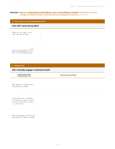#### November : How am I authentically including Black, Latinx, and multilingual students? Superficial curriculum changes are offered in place of culturally relevant pedagogy and practice. (continued)

| <b>4. ACT WITH ACCOUNTABILITY</b>                                   |                |
|---------------------------------------------------------------------|----------------|
| How will I carry out my plan?                                       |                |
| These are the steps I will<br>take to enact my plan:                | 1.<br>2.<br>3. |
| will<br>hold me accountable for this<br>plan in the following ways: |                |

#### 5. REFLECT

| <b>QUESTIONS FOR</b><br><b>CONSIDERATION</b>                                                                    | <b>REFLECTION NOTES</b> |
|-----------------------------------------------------------------------------------------------------------------|-------------------------|
| What helped or hindered me in<br>carrying out my plan?                                                          |                         |
| In what ways can I continue<br>this work next month, even as<br>I shift my antiracist praxis<br>to a new focus? |                         |
| How did engaging in antiracist<br>work help my students succeed?                                                |                         |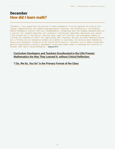# December How did I learn math?

"Elsewhere, I have argued that the practice of school mathematics in the US regulates the child by privileging: algebra/calculus over geometry/topology/spatial reasoning; rule following over rule breaking; Western mathematics (culture free) over ethnomathematics (recognizing that even academic mathematicians are a culture); the 'standard algorithm' over invented or international algorithms; abstraction over context ('just pretend this is real world'); mind over body; logic over intuition; and encouraging students to "critique the reasoning of others" over appreciating their reasoning. Not only can these repeated practices over a lifetime serve to dehumanize students and teachers in classrooms, the narrative about mathematics being a pure discipline, reflective of the natural world around us, universal, with an almost unilaterally positive relationship to society's advancement, leaves many humans unable to challenge this narrative to consider other ways of doing mathematics." [\(Gutierrez](https://www.researchgate.net/publication/325828792_Political_conocimiento_for_teaching_mathematics_Why_teachers_need_it_and_how_to_develop_it) 2017)

# **Curriculum Developers and Teachers Enculturated in the USA Present Mathematics the Way They Learned It, without Critical Reflection.**

# **["I Do, We Do, You Do" is the Primary Format of the Class](#page-41-0)**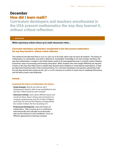# December How did I learn math?

Curriculum developers and teachers enculturated in the USA present mathematics the way they learned it, without critical reflection.

#### 1. ENGAGE

White supremacy culture shows up in math classrooms when...

#### Curriculum developers and teachers enculturated in the USA present mathematics the way they learned it, without critical reflection.

This reinforces the idea that there is *only one right way* to do math, which may not serve all students. The history of mathematics, its colonization, and what is deemed as "acceptable" knowledge is rich and complex, therefore, the way that mathematics is taught in the United States needs to be interrogated because it currently centers Western, Eurocentric ways of processing and knowing information. When students who were taught differently are required to learn in this way, they either have to unlearn their learned native traditions to meet teacher expectations, or they are deprived of learning math in their ancestral history. For curriculum developers and teachers, presenting math the way they learned also reinforces the *right to comfort* because to conform is easier than to challenge themselves and the field to teach math differently.

#### Instead...

#### Incorporate the history of mathematics into lessons.

- Verbal Example: *Why do you think we call it Pythagorean's theorem, when it was used before he was even born? What should we call it instead?*
- Classroom Activity: Learn about different bases and numerical ideas: Base 2, binary and connections to computer programming, how the Yoruba of Nigeria used base 20, and how the Mayans conceptualized the number 0 before the first recording of it.
- Professional Development: Learn the history of mathematics. Take a course, go to a conference, read historically and culturally accurate books, and use the resources in this workbook. Focus on different approaches to learning concepts.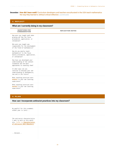#### December : How did I learn math? Curriculum developers and teachers enculturated in the USA teach mathematics the way they learned it, without critical reflection. (continued)

#### What am I currently doing in my classroom? QUESTIONS FOR CONSIDERATION REFLECTION NOTES 2. REFLECT How were you taught math when growing up? Was the focus procedural, application, or conceptual? Who were you taught was responsible for the development of the field of mathematics? How do you mostly teach mathematics? Is the focus mostly procedural, application, or conceptual? How have you developed your understanding of the content standards and the best approaches to teaching them? In what ways can you continue to develop your own understanding of mathematics, now and in the future? What teaching practices were **helpful** in your own learning experience? What teaching practices were **harmful** in your own learning experience?

#### 3. PLAN

| My goal(s) for this academic<br>school year is (are)                                                                             |  |
|----------------------------------------------------------------------------------------------------------------------------------|--|
| The antiracist characteristics<br>I want to work on this month<br>are (refer to Characteristics<br>of Antiracist Math Educators) |  |
| $\ldots$ because                                                                                                                 |  |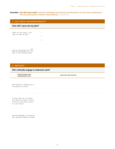#### December : How did I learn math? Curriculum developers and teachers enculturated in the USA teach mathematics the way they learned it, without critical reflection. (continued)

| <b>4. ACT WITH ACCOUNTABILITY</b>                                   |                |
|---------------------------------------------------------------------|----------------|
| How will I carry out my plan?                                       |                |
| These are the steps I will<br>take to enact my plan:                | 1.<br>2.<br>3. |
| will<br>hold me accountable for this<br>plan in the following ways: |                |

#### 5. REFLECT

| <b>QUESTIONS FOR</b><br><b>CONSIDERATION</b>                                                                    | <b>REFLECTION NOTES</b> |
|-----------------------------------------------------------------------------------------------------------------|-------------------------|
| What helped or hindered me in<br>carrying out my plan?                                                          |                         |
| In what ways can I continue<br>this work next month, even as<br>I shift my antiracist praxis<br>to a new focus? |                         |
| How did engaging in antiracist<br>work help my students succeed?                                                |                         |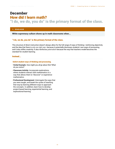# <span id="page-41-0"></span>December How did I learn math?

# "I do, we do, you do" is the primary format of the class.

#### 1. ENGAGE

White supremacy culture shows up in math classrooms when...

#### "I do, we do, you do" is the primary format of the class.

This structure of direct instruction doesn't always allow for the full range of ways of thinking—reinforcing objectivity and the idea that there is *only one right way*—because it potentially dismisses students' own ways of processing, and it also stifles creativity. It also reinforces *paternalism* because the way that teachers model becomes the standard for student learning.

#### Instead...

#### Solicit student ways of thinking and processing.

- Verbal Example: *How might you all go about this? What do you notice?*
- Classroom Activity: Incorporate explorations, where students interact with mathematics in a way that allows them to "discover" or experience mathematics.
- Professional Development: Interrogate the ways that you were taught, and break the cycles of teaching that way by learning different ways to approach the concepts. In addition, learn how to develop project-based learning, experiential learning, and explorational learning.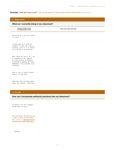#### **December : How did I learn math?** "I do, we do, you do" is the primary format of the class. (continued)

# What am I currently doing in my classroom? QUESTIONS FOR CONSIDERATION REFLECTION NOTES 2. REFLECT How often do I use this format in class? In what ways do I allow my students to show their way of thinking, even if it is different from how I am thinking? What resources can or do I use to incorporate the suggested instructional strategies, according to aspects of rigor embedded in the standard I am teaching? When is this a useful format? When is it not? Why? What does this strategy imply about the students' abilities?

#### 3. PLAN

| My goal(s) for this academic<br>school year is (are)                                                                             |  |  |
|----------------------------------------------------------------------------------------------------------------------------------|--|--|
| The antiracist characteristics<br>I want to work on this month<br>are (refer to Characteristics<br>of Antiracist Math Educators) |  |  |
| because                                                                                                                          |  |  |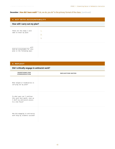#### December : How did I learn math? "I do, we do, you do" is the primary format of the class. (continued)

# 4. ACT WITH ACCOUNTABILITY How will I carry out my plan? These are the steps I will take to enact my plan: 1. 2. 3. will hold me accountable for this plan in the following ways:

### 5. REFLECT

| <b>QUESTIONS FOR</b><br><b>CONSIDERATION</b>                                                                    | <b>REFLECTION NOTES</b> |
|-----------------------------------------------------------------------------------------------------------------|-------------------------|
| What helped or hindered me in<br>carrying out my plan?                                                          |                         |
| In what ways can I continue<br>this work next month, even as<br>I shift my antiracist praxis<br>to a new focus? |                         |
| How did engaging in antiracist<br>work help my students succeed?                                                |                         |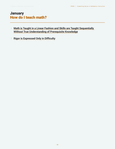# **January** How do I teach math?

- **[Math is Taught in a Linear Fashion and Skills are Taught Sequentially](#page-45-0)  [Without True Understanding of Prerequisite Knowledge](#page-45-0)**
- **[Rigor is Expressed Only in Difficulty](#page-48-0)**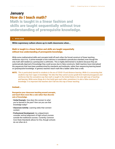# <span id="page-45-0"></span>**January** How do I teach math?

Math is taught in a linear fashion and skills are taught sequentially without true understanding of prerequisite knowledge.

#### 1. ENGAGE

White supremacy culture shows up in math classrooms when...

### Math is taught in a linear fashion and skills are taught sequentially without true understanding of prerequisite knowledge.

While some mathematical skills and concepts build off each other, the forced construct of linear teaching reinforces *objectivity*. A prime example is how matrices is considered a precalculus standard, even though the only math skill needed as a prerequisite is arithmetic. This is highly detrimental to students because they are systematically deprived of knowledge they could access due to false constructs. Math teachers have internalized the sequences that have been predetermined by standards and textbooks, rather than sequencing learning based on (pre)requisite knowledge. In general, teachers teach math like a ladder rather than a web.

NOTE**:** *This is particularly harmful to students in the era of COVID-19 and distance learning. While it is concerning that students may have "gaps in knowledge," the idea that they cannot access grade-level material presupposes and reinforces that the cumulative way that math is taught in the United States is the only right way of teaching and learning. While some things do in fact build upon each other, sometimes it is also a false construct of knowledge. It is important that teachers don't fall into this trap of linear teaching.*

#### Instead...

Reorganize your classroom teaching around concepts, and teach them more like a web rather than discrete sets of knowledge.

- Verbal Example: *How does this connect to what you've learned in the past? How can you use that knowledge today?*
- Classroom Activity: Learning webs that connect content.
- Professional Development: As a department, consider vertical alignment of high school courses outside the traditional courses. Currently, Common Core State Standards allows for this, though schools do not often do it.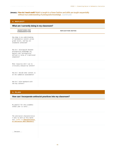#### **January : How do I teach math?** Math is taught in a linear fashion and skills are taught sequentially without true understanding of prerequisite knowledge. (continued)

| 2. REFLECT                                                                                                                                |                         |  |
|-------------------------------------------------------------------------------------------------------------------------------------------|-------------------------|--|
| What am I currently doing in my classroom?                                                                                                |                         |  |
| <b>QUESTIONS FOR</b><br><b>CONSIDERATION</b>                                                                                              | <b>REFLECTION NOTES</b> |  |
| How deep is my understanding<br>of mathematics content across<br>grade levels, and how are<br>standards connected?                        |                         |  |
| How do I distinguish between<br>prerequisite knowledge for<br>mastery and "prerequisite"<br>defined in terms of traditional<br>sequences? |                         |  |
| What resources did I use to<br>critically analyze my content?                                                                             |                         |  |
| How do I decide what content is<br>on the summative assessments?                                                                          |                         |  |
| How do I plan backward with<br>the key content?                                                                                           |                         |  |

### 3. PLAN

| My goal(s) for this academic<br>school year is (are)                                                                             |  |
|----------------------------------------------------------------------------------------------------------------------------------|--|
| The antiracist characteristics<br>I want to work on this month<br>are (refer to Characteristics<br>of Antiracist Math Educators) |  |
| $\ldots$ because                                                                                                                 |  |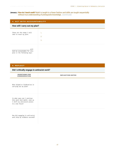#### January : How do I teach math? Math is taught in a linear fashion and skills are taught sequentially without true understanding of prerequisite knowledge. (continued)

| <b>4. ACT WITH ACCOUNTABILITY</b>                                   |                |
|---------------------------------------------------------------------|----------------|
| How will I carry out my plan?                                       |                |
| These are the steps I will<br>take to enact my plan:                | 1.<br>2.<br>3. |
| will<br>hold me accountable for this<br>plan in the following ways: |                |

## 5. REFLECT

| <b>QUESTIONS FOR</b><br><b>CONSIDERATION</b>                                                                    | <b>REFLECTION NOTES</b> |
|-----------------------------------------------------------------------------------------------------------------|-------------------------|
| What helped or hindered me in<br>carrying out my plan?                                                          |                         |
| In what ways can I continue<br>this work next month, even as<br>I shift my antiracist praxis<br>to a new focus? |                         |
| How did engaging in antiracist<br>work help my students succeed?                                                |                         |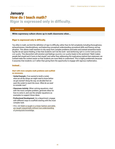# <span id="page-48-0"></span>**January** How do I teach math? Rigor is expressed only in difficulty.

#### 1. ENGAGE

White supremacy culture shows up in math classrooms when...

#### Rigor is expressed only in difficulty.

Too often in math, we limit the definition of rigor to difficulty, rather than its full complexity including thoroughness; exhaustiveness; interdisciplinary; and balancing conceptual understanding, procedural skills and fluency, and application. This allows math teachers to shy away from complex problems and tasks and instead streamline teaching like we are spoon-feeding, in fear that students can't do the work—and reinforcing *right to comfort* and *quantity over quality*. This discomfort with emotion and feelings *(quantity over quality)* leads to the sentiment "Math makes people feel stupid and it hurts to feel stupid," and rather than addressing the implications behind that statement, we instead make the content easier so that students are more likely to understand. This is highly problematic because it assumes that students *can't* rather than giving them the opportunity to engage with rigorous mathematics.

#### Instead...

#### Start with more complex math problems and scaffold as necessary.

- Verbal Example: *If we wanted to build a rocket, what are all the things we might need to know before we get started? Along the way, we decided that we want the rocket to reach the moon. What do we need to consider now?*
- Classroom Activity: When solving equations, start with the most complex problem, generate ideas for how to solve it, and use the simpler equations as examples to support those ideas.
- Professional Development: As a department, engage with different ways to scaffold starting with the most complex task.
- Also, see [Math is taught in a linear fashion and skills](#page-45-0)  [are taught sequentially without true understanding](#page-45-0)  [of prerequisite knowledge.](#page-45-0)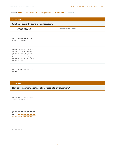### January : How do I teach math? Rigor is expressed only in difficulty. (continued)

| 2. REFLECT                                                                                                                                                                                                      |                                            |  |
|-----------------------------------------------------------------------------------------------------------------------------------------------------------------------------------------------------------------|--------------------------------------------|--|
|                                                                                                                                                                                                                 | What am I currently doing in my classroom? |  |
| <b>QUESTIONS FOR</b><br><b>CONSIDERATION</b>                                                                                                                                                                    | <b>REFLECTION NOTES</b>                    |  |
| What is my understanding of<br>rigor in mathematics?                                                                                                                                                            |                                            |  |
| How do I ensure a balance in<br>my instruction between other<br>aspects of rigor and Common<br>Core three aspects of rigor<br>(conceptual understanding,<br>procedural skills and fluency,<br>and application)? |                                            |  |
| When is rigor a catchall for<br>equity?                                                                                                                                                                         |                                            |  |

## 3. PLAN

| My goal(s) for this academic<br>school year is (are)                                                                             |  |  |
|----------------------------------------------------------------------------------------------------------------------------------|--|--|
| The antiracist characteristics<br>I want to work on this month<br>are (refer to Characteristics<br>of Antiracist Math Educators) |  |  |
| because                                                                                                                          |  |  |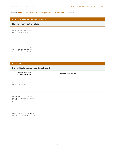### January : How do I teach math? Rigor is expressed only in difficulty. (continued)

| <b>4. ACT WITH ACCOUNTABILITY</b>                                   |                |  |
|---------------------------------------------------------------------|----------------|--|
| How will I carry out my plan?                                       |                |  |
| These are the steps I will<br>take to enact my plan:                | 1.<br>2.<br>3. |  |
| will<br>hold me accountable for this<br>plan in the following ways: |                |  |

# 5. REFLECT

| <b>QUESTIONS FOR</b><br><b>CONSIDERATION</b>                                                                    | <b>REFLECTION NOTES</b> |
|-----------------------------------------------------------------------------------------------------------------|-------------------------|
| What helped or hindered me in<br>carrying out my plan?                                                          |                         |
| In what ways can I continue<br>this work next month, even as<br>I shift my antiracist praxis<br>to a new focus? |                         |
| How did engaging in antiracist<br>work help my students succeed?                                                |                         |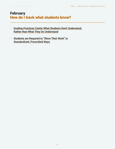# **February** How do I track what students know?

- **[Grading Practices Center What Students Don't Understand](#page-52-0)  [Rather than What They Do Understand](#page-52-0)**
- **[Students are Required to "Show Their Work" in](#page-55-0)  [Standardized, Prescribed Ways](#page-55-0)**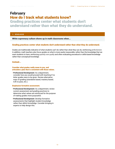# <span id="page-52-0"></span>**February** How do I track what students know?

# Grading practices center what students don't understand rather than what they do understand.

#### 1. ENGAGE

White supremacy culture shows up in math classrooms when...

#### Grading practices center what students don't understand rather than what they do understand.

Grades are traditionally indicative of what students can't do rather than what they can do, reinforcing *perfectionism*. In addition, math teachers also focus grades on what is more easily measurable, rather than the knowledge that we want students to have, reinforcing *quantity over quality* and often evaluating procedural or skills-based knowledge rather than conceptual knowledge.

#### Instead...

Consider what grades really mean to you, and articulate a plan that is consistent with those values.

• Professional Development: As a department, consider how you would proceed with teaching if no letter grades were to be given. Review alternative ways of grading (standards based, mastery based, A/B no pass, etc.).

#### Emphasize formative assessment.

- Professional Development: As a department, review current assessment and grading practices to determine what values are reinforced for the purpose of making grades more purposeful.
- Professional Development: Develop formative assessments that highlight student knowledge rather than deficit knowledge. Consider bringing in experts to help design this.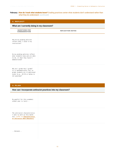#### February : How do I track what students know? Grading practices center what students don't understand rather than what they do understand. (continued)

# What am I currently doing in my classroom? QUESTIONS FOR CONSIDERATION REFLECTION NOTES 2. REFLECT How do my grading policies reflect what I value in my instruction? Do my grading policies reflect what students know and are able to do, or what they haven't demonstrated? Why do I grade how I grade? Is it mathematically fair to grade students on a traditional scale (e.g., 69.5% or below is not passing)?

### 3. PLAN

| My goal(s) for this academic<br>school year is (are)                                                                             |  |  |
|----------------------------------------------------------------------------------------------------------------------------------|--|--|
| The antiracist characteristics<br>I want to work on this month<br>are (refer to Characteristics<br>of Antiracist Math Educators) |  |  |
| because                                                                                                                          |  |  |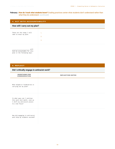### February : How do I track what students know? Grading practices center what students don't understand rather than what they do understand. (continued)

| <b>4. ACT WITH ACCOUNTABILITY</b>                                   |                |
|---------------------------------------------------------------------|----------------|
| How will I carry out my plan?                                       |                |
| These are the steps I will<br>take to enact my plan:                | 1.<br>2.<br>3. |
| will<br>hold me accountable for this<br>plan in the following ways: |                |

### 5. REFLECT

| <b>QUESTIONS FOR</b><br><b>CONSIDERATION</b>                                                                    | <b>REFLECTION NOTES</b> |
|-----------------------------------------------------------------------------------------------------------------|-------------------------|
| What helped or hindered me in<br>carrying out my plan?                                                          |                         |
| In what ways can I continue<br>this work next month, even as<br>I shift my antiracist praxis<br>to a new focus? |                         |
| How did engaging in antiracist<br>work help my students succeed?                                                |                         |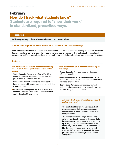# <span id="page-55-0"></span>**February** How do I track what students know? Students are required to "show their work" in standardized, prescribed ways.

#### 1. ENGAGE

White supremacy culture shows up in math classrooms when...

#### Students are required to "show their work" in standardized, prescribed ways.

Math teachers ask students to show work so that teachers know what students are thinking, but that can center the teacher's need to understand rather than student learning. Teachers should seek to understand individual student perspectives and focus on students showing their work in ways that help students learn how to process information.

#### Instead...

Ask other questions that will demonstrate learning when it is not clear to you how students know the answer.

- Verbal Example: *If you were working with a fellow mathematician who was absent this day, what might you tell them to help them learn it?*
- Classroom Activity: Number talks, where students have to engage with mental mathematics not limited to computations.
- Professional Development: As a department, solve complex problems without writing and share with each other about that process.

#### Offer a variety of ways to demonstrate thinking and knowledge.

- Verbal Example: *Show your thinking with words, pictures, symbols.*
- Classroom Activity: Have students create TikTok videos, silent films, or cartoons about mathematical concepts or procedures.
- Professional Development: Practice with math colleagues how to answer mathematical problems without using words or numbers.

Ask yourself: *How and why am I asking students to show their work?*

The point should be to have a dialogue about their process and their learning, not require every student to follow the exact same path to the right answer.

The child of immigrants might have learned a different way to solve a problem because that's how their parents were taught where they grew up. If we just tell that student their way is the wrong way, we risk turning them off to math for life. If we take the opportunity to explore why there are different ways to approach the same problem, it can be a learning moment for the entire class.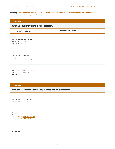### February : How do I track what students know? Students are required to "show their work" in standardized,

prescribed ways. (continued)

| 2. REFLECT                                                                                |                         |  |
|-------------------------------------------------------------------------------------------|-------------------------|--|
| What am I currently doing in my classroom?                                                |                         |  |
| <b>QUESTIONS FOR</b><br><b>CONSIDERATION</b>                                              | <b>REFLECTION NOTES</b> |  |
| When asking students to show<br>their work, what are the<br>reasons for this?             |                         |  |
| What are the myriad ways<br>students can demonstrate their<br>knowledge or understanding? |                         |  |
| What type of "work" is valued?<br>What type of "work" is not<br>valued?                   |                         |  |

## 3. PLAN

| My goal(s) for this academic<br>school year is (are)                                                                             |  |  |
|----------------------------------------------------------------------------------------------------------------------------------|--|--|
| The antiracist characteristics<br>I want to work on this month<br>are (refer to Characteristics<br>of Antiracist Math Educators) |  |  |
| because                                                                                                                          |  |  |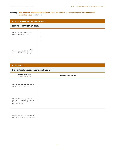### February : How do I track what students know? Students are required to "show their work" in standardized,

prescribed ways. (continued)

| <b>4. ACT WITH ACCOUNTABILITY</b>                                   |                |  |
|---------------------------------------------------------------------|----------------|--|
| How will I carry out my plan?                                       |                |  |
| These are the steps I will<br>take to enact my plan:                | 1.<br>2.<br>3. |  |
| will<br>hold me accountable for this<br>plan in the following ways: |                |  |

## 5. REFLECT

| <b>QUESTIONS FOR</b><br><b>CONSIDERATION</b>                                                                    | <b>REFLECTION NOTES</b> |
|-----------------------------------------------------------------------------------------------------------------|-------------------------|
| What helped or hindered me in<br>carrying out my plan?                                                          |                         |
| In what ways can I continue<br>this work next month, even as<br>I shift my antiracist praxis<br>to a new focus? |                         |
| How did engaging in antiracist<br>work help my students succeed?                                                |                         |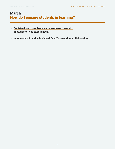# March How do I engage students in learning?

- **[Contrived word problems are valued over the math](#page-59-0)**   $\sum$ **[in students' lived experiences.](#page-59-0)**
- **[Independent Practice is Valued Over Teamwork or Collaboration](#page-62-0)** $\left\langle \right\rangle$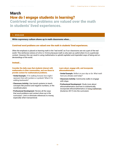# <span id="page-59-0"></span>March How do I engage students in learning? Contrived word problems are valued over the math in students' lived experiences.

#### 1. ENGAGE

White supremacy culture shows up in math classrooms when...

#### Contrived word problems are valued over the math in students' lived experiences.

Often the emphasis is placed on learning math in the "real world," as if our classrooms are not a part of the real world. This reinforces notions of *either/or thinking* because math is only seen as useful when it is in a particular context. However, this can result in using mathematics to uphold capitalist and imperialist ways of being and understandings of the world.

#### Instead...

Consider the daily ways that students interact with mathematics in their communities, and use those to provide context for mathematical problems.

- Verbal Example: *If I'm walking forward, how might I represent that with numbers or symbols? What if I'm walking backwards?*
- Classroom Activity: Use transit systems to teach concepts like positive and negative numbers, or the coordinate plane.
- Professional Development: Review all the ways that word problems and context show up in the curriculum. Limit or eliminate references to money, especially when transactional.

#### Learn about, engage with, and incorporate ethnomathematics.

- Verbal Example: *Reflect on your day so far. What math have you already used today?*
- Classroom Activity: Community walks to engage with slope.
- Professional Development: Study more about ethnomathematics and how to authentically incorporate ethnomathematics or [living mathematx](https://files.eric.ed.gov/fulltext/ED581384.pdf) (Gutierrez 2017) into the curriculum.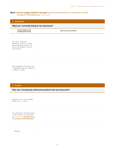# March : How do I engage students in learning? Contrived word problems are valued over the math

in students' lived experiences. (continued)

| 2. REFLECT                                                                                                                     |                         |  |
|--------------------------------------------------------------------------------------------------------------------------------|-------------------------|--|
| What am I currently doing in my classroom?                                                                                     |                         |  |
| <b>QUESTIONS FOR</b><br><b>CONSIDERATION</b>                                                                                   | <b>REFLECTION NOTES</b> |  |
| How can I study the<br>community in which I teach<br>and incorporate issues that<br>affect my students into my<br>instruction? |                         |  |
| What strengths and values can<br>I highlight from the community<br>in which I teach?                                           |                         |  |

# 3. PLAN

| My goal(s) for this academic<br>school year is (are)                                                                             |  |  |
|----------------------------------------------------------------------------------------------------------------------------------|--|--|
| The antiracist characteristics<br>I want to work on this month<br>are (refer to Characteristics<br>of Antiracist Math Educators) |  |  |
| because                                                                                                                          |  |  |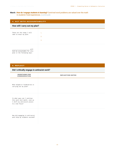### March : How do I engage students in learning? Contrived word problems are valued over the math

in students' lived experiences. (continued)

| <b>4. ACT WITH ACCOUNTABILITY</b>                                   |                |
|---------------------------------------------------------------------|----------------|
| How will I carry out my plan?                                       |                |
| These are the steps I will<br>take to enact my plan:                | 1.<br>2.<br>3. |
| will<br>hold me accountable for this<br>plan in the following ways: |                |

## 5. REFLECT

| <b>QUESTIONS FOR</b><br><b>CONSIDERATION</b>                                                                    | <b>REFLECTION NOTES</b> |
|-----------------------------------------------------------------------------------------------------------------|-------------------------|
| What helped or hindered me in<br>carrying out my plan?                                                          |                         |
| In what ways can I continue<br>this work next month, even as<br>I shift my antiracist praxis<br>to a new focus? |                         |
| How did engaging in antiracist<br>work help my students succeed?                                                |                         |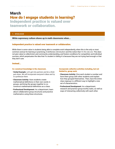# <span id="page-62-0"></span>March How do I engage students in learning? Independent practice is valued over teamwork or collaboration.

#### 1. ENGAGE

White supremacy culture shows up in math classrooms when...

#### Independent practice is valued over teamwork or collaboration.

While there is some value in students being able to complete work independently, when this is the only or most common avenue for learning or practicing, it reinforces *individualism* and the notion that *I'm the only one*. This does not give value to collectivism and community understanding, and fosters conditions for competition and individual success, which perpetuates the idea that if a student is failing it is because they are not trying hard enough or that they don't care.

#### Instead...

#### Co-construct knowledge in the classroom.

- Verbal Example: *Let's get into partners and do a thinkpair-share. We will incorporate everyone's ideas and try to synthesize them.*
- Classroom Activity: Have students create mathematical definitions in their own words in groups, and bring the groups together to coconstruct mathematical definitions as a class.
- Professional Development: As a department, learn about collaborative group structures and practice mathematics using these structures.

#### Incorporate collective activities including, but not limited to, group work.

- Classroom Activity: Give each student a number and have them group with other students and explain how they grouped themselves. Then, have the entire class regroup in a different way to highlight a new set of characteristics.
- Professional Development: As a department, research and practice group-worthy tasks, as well as ways of interacting collectively with each other.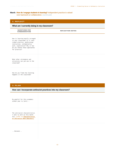#### March : How do I engage students in learning? Independent practice is valued

over teamwork or collaboration. (continued)

# What am I currently doing in my classroom? QUESTIONS FOR CONSIDERATION REFLECTION NOTES 2. REFLECT How is learning mostly arranged in your classroom? Is it individual practice, whole-group instruction, collaborative work, exploration? Why or how do you choose these approaches for practice? What other strategies and structures can you use in the classroom? How do you frame how learning happens in the classroom?

### 3. PLAN

| My goal(s) for this academic<br>school year is (are)                                                                             |  |  |
|----------------------------------------------------------------------------------------------------------------------------------|--|--|
| The antiracist characteristics<br>I want to work on this month<br>are (refer to Characteristics<br>of Antiracist Math Educators) |  |  |
| because                                                                                                                          |  |  |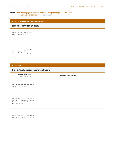### March : How do I engage students in learning? Independent practice is valued

over teamwork or collaboration. (continued)

| <b>4. ACT WITH ACCOUNTABILITY</b>                                   |                |
|---------------------------------------------------------------------|----------------|
| How will I carry out my plan?                                       |                |
| These are the steps I will<br>take to enact my plan:                | 1.<br>2.<br>3. |
| will<br>hold me accountable for this<br>plan in the following ways: |                |

## 5. REFLECT

| <b>QUESTIONS FOR</b><br><b>CONSIDERATION</b>                                                                    | <b>REFLECTION NOTES</b> |
|-----------------------------------------------------------------------------------------------------------------|-------------------------|
| What helped or hindered me in<br>carrying out my plan?                                                          |                         |
| In what ways can I continue<br>this work next month, even as<br>I shift my antiracist praxis<br>to a new focus? |                         |
| How did engaging in antiracist<br>work help my students succeed?                                                |                         |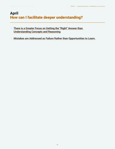# April How can I facilitate deeper understanding?

- **[There is a Greater Focus on Getting the "Right" Answer than](#page-66-0)**   $\left. \right. \right. \left. \right. \left. \right. \left. \right. \left. \right. \left. \right. \left. \left. \right. \left. \right. \left. \right. \left. \left. \right. \left. \right. \left. \left. \right. \left. \right. \left. \left. \right. \right. \left. \left. \right. \left. \left. \right. \right. \left. \left. \right. \right. \left. \left. \right. \right. \left. \left. \right. \left. \left. \right. \right. \left. \left. \right. \right. \left. \left. \right. \left. \right. \left. \left. \right. \right. \left. \left. \right. \right. \$ **[Understanding Concepts and Reasoning](#page-66-0)**
- **[Mistakes are Addressed as Failure Rather than Opportunities to Learn.](#page-69-0)** $\left\langle \right\rangle$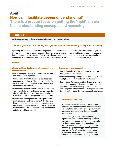# <span id="page-66-0"></span>April How can I facilitate deeper understanding? There is a greater focus on getting the "right" answer than understanding concepts and reasoning.

#### 1. ENGAGE

White supremacy culture shows up in math classrooms when...

#### There is a greater focus on getting the "right" answer than understanding concepts and reasoning.

Upholding the idea that there are always right and wrong answers perpetuate *objectivity* as well as *fear of open conflict*. Some math problems may have more than one right answer and some may not have a solution at all, depending on the content and the context. And when the focus is only on getting the right answer, the complexity of the mathematical concepts and reasoning may be underdeveloped, missing opportunities for deep learning.

#### Instead...

#### Choose problems that have complex, competing, or multiple answers.

- Verbal Example: *Come up with at least two answers that might solve this problem.*
- Classroom Activity: Challenge standardized test questions by getting the "right" answer, but justify other answers by unpacking the assumptions that are made in the problem.
- Classroom Activity: Deconstructed Multiple Choice - given a set of multiple choice answers, students discuss why these answers may have been included (can also be used to highlight common mistakes).
- Professional Development: Study the purpose of math education, and re-envision it. Schooling as we know it began during the industrial revolution, when precision and accuracy were highly valued. What are the myriad ways we can conceptualize mathematics in today's world and beyond?

#### Engage with true problem solving.

- Verbal Example: *What are some strategies we can use to engage with this problem?*
- Classroom Activity: Using a set of data, analyze it in multiple ways to draw different conclusions.
- Professional Development: Study the art of problem solving by engaging in rich, complex mathematical problems. Consider whether your own content knowledge is sufficient to allow you to problem solve through math without the strategies you typically use.

#### When Wrong Goes Right

Of course, most math problems have correct answers, but sometimes there can be more than one way to interpret a problem, especially word problems, leading to more than one possible right answer.

And teaching math isn't just about solving specific problems. It's about helping students understand the deeper mathematical concepts so that they can apply them throughout their lives. Students can arrive at the right answer without grasping the bigger concept; or they can have an "aha" moment when they see why they got an answer wrong. Sometimes a wrong answer sheds more light than a right answer.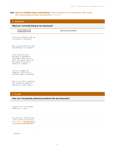# April : How can I facilitate deeper understanding? There is a greater focus on getting the "right" answer

than understanding concepts and reasoning. (continued)

| 2. REFLECT                                                                                                                                                            |                         |  |
|-----------------------------------------------------------------------------------------------------------------------------------------------------------------------|-------------------------|--|
| What am I currently doing in my classroom?                                                                                                                            |                         |  |
| <b>QUESTIONS FOR</b><br><b>CONSIDERATION</b>                                                                                                                          | <b>REFLECTION NOTES</b> |  |
| In your own schooling, what was<br>the purpose of doing math?                                                                                                         |                         |  |
| What is your purpose for teach-<br>ing mathematics to students?                                                                                                       |                         |  |
| Do you value precision<br>and speed in mathematics<br>achievement? Where do you<br>think that belief comes from?<br>When would efficiency be<br>harmful for students? |                         |  |
| How do you engage with<br>competing, conflicting, or<br>multiple answers to problems?                                                                                 |                         |  |
| What is the value of exploring<br>math concepts as opposed to<br>seeking the "right" answer?                                                                          |                         |  |

#### 3. PLAN

| My goal(s) for this academic<br>school year is (are)                                                                             |  |  |
|----------------------------------------------------------------------------------------------------------------------------------|--|--|
| The antiracist characteristics<br>I want to work on this month<br>are (refer to Characteristics<br>of Antiracist Math Educators) |  |  |
| $\ldots$ because                                                                                                                 |  |  |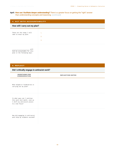# April : How can I facilitate deeper understanding? There is a greater focus on getting the "right" answer

than understanding concepts and reasoning. (continued)

| <b>4. ACT WITH ACCOUNTABILITY</b>                                   |                |
|---------------------------------------------------------------------|----------------|
| How will I carry out my plan?                                       |                |
| These are the steps I will<br>take to enact my plan:                | 1.<br>2.<br>3. |
| will<br>hold me accountable for this<br>plan in the following ways: |                |

## 5. REFLECT

| <b>QUESTIONS FOR</b><br><b>CONSIDERATION</b>                                                                    | <b>REFLECTION NOTES</b> |
|-----------------------------------------------------------------------------------------------------------------|-------------------------|
| What helped or hindered me in<br>carrying out my plan?                                                          |                         |
| In what ways can I continue<br>this work next month, even as<br>I shift my antiracist praxis<br>to a new focus? |                         |
| How did engaging in antiracist<br>work help my students succeed?                                                |                         |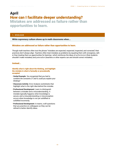# <span id="page-69-0"></span>April How can I facilitate deeper understanding? Mistakes are addressed as failure rather than opportunities to learn.

#### 1. ENGAGE

White supremacy culture shows up in math classrooms when...

#### Mistakes are addressed as failure rather than opportunities to learn.

Though math teachers often tout the phrase "mistakes are expected, respected, inspected, and corrected," their practices don't always align. Teachers often treat mistakes as problems by equating them with wrongness, rather than treating them as opportunities for learning—which reinforces the ideas of *perfectionism* (that students shouldn't make mistakes) and *paternalism* (teachers or other experts can and should correct mistakes).

#### Instead...

Identify what is right about the thinking, and highlight the mistake in what is factually or procedurally accepted.

- Verbal Example: *You recognized that you had to combine the constants 27 and 9, could you explain your thinking?*
- Classroom Activity: Error Analysis worksheets that highlight what is the right idea behind the mistake.
- Professional Development: Learn to distinguish between a mistake and a misunderstanding. A mistake typically happens when knowledge is secure, and a misunderstanding or misconception occurs when knowledge is not yet solidified or solidified incorrectly.
- Professional Development: In teams, craft questions that you practice on colleagues so they can be refined to better identify ideas.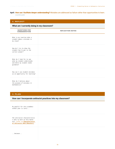# April : How can I facilitate deeper understanding? Mistakes are addressed as failure rather than opportunities to learn.

(continued)

# What am I currently doing in my classroom? QUESTIONS FOR CONSIDERATION REFLECTION NOTES 2. REFLECT What is my reaction when a student makes a mistake in my class? How do I try to show the student how to get to the correct answer? What do I look for to see what my student understands and where my student needs guidance? How can I use student mistakes as an opportunity for learning? What do I believe about the purpose of mistakes in mathematics?

#### 3. PLAN

| My goal(s) for this academic<br>school year is (are)                                                                             |  |  |
|----------------------------------------------------------------------------------------------------------------------------------|--|--|
| The antiracist characteristics<br>I want to work on this month<br>are (refer to Characteristics<br>of Antiracist Math Educators) |  |  |
| $\ldots$ because                                                                                                                 |  |  |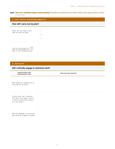#### April : How can I facilitate deeper understanding? Mistakes are addressed as failure rather than opportunities to learn. (continued)

| <b>4. ACT WITH ACCOUNTABILITY</b>                                   |                |
|---------------------------------------------------------------------|----------------|
| How will I carry out my plan?                                       |                |
| These are the steps I will<br>take to enact my plan:                | 1.<br>2.<br>3. |
| will<br>hold me accountable for this<br>plan in the following ways: |                |

## 5. REFLECT

| <b>QUESTIONS FOR</b><br><b>CONSIDERATION</b>                                                                    | <b>REFLECTION NOTES</b> |
|-----------------------------------------------------------------------------------------------------------------|-------------------------|
| What helped or hindered me in<br>carrying out my plan?                                                          |                         |
| In what ways can I continue<br>this work next month, even as<br>I shift my antiracist praxis<br>to a new focus? |                         |
| How did engaging in antiracist<br>work help my students succeed?                                                |                         |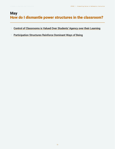# **May** How do I dismantle power structures in the classroom?

- **[Control of Classrooms is Valued Over Students' Agency over their Learning](#page-73-0)**  $\left. \right.$
- **[Participation Structures Reinforce Dominant Ways of Being](#page-76-0)** $\left. \right. \right. \left. \right. \left. \right. \left. \right. \left. \right. \left. \right. \left. \left. \right. \left. \right. \left. \right. \left. \left. \right. \left. \right. \left. \left. \right. \left. \right. \left. \left. \right. \right. \left. \left. \right. \left. \left. \right. \right. \left. \left. \right. \right. \left. \left. \right. \right. \left. \left. \right. \left. \left. \right. \right. \left. \left. \right. \right. \left. \left. \right. \left. \right. \left. \left. \right. \right. \left. \left. \right. \right. \$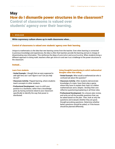# <span id="page-73-0"></span>**May** How do I dismantle power structures in the classroom? Control of classrooms is valued over students' agency over their learning.

#### 1. ENGAGE

White supremacy culture shows up in math classrooms when...

#### Control of classrooms is valued over students' agency over their learning.

Unique to mathematics is the idea that new learning comes from the teacher. Even when learning is connected to previous knowledge and experiences, the idea is often that teachers provide the learning and are in charge of disseminating new information. This reinforces the ideas of *paternalism* and *powerhoarding*. When students bring a different approach to doing math, teachers often get *defensive* and see it as a challenge to the power structures in the classroom.

#### Instead...

#### Learn from students.

- Verbal Example: *I thought that we were supposed to add right here, but I can't figure it out? Can you help me out?*
- Classroom Activity: Flipped learning, where students teach concepts to other students.
- Professional Development: Learn to shift your position to a facilitator, rather than a knowledge giver, by having someone observe your classroom specifically to identify the way that power is distributed.

#### Using thoughtful questioning to solicit mathematical thoughts rather than telling.

- Verbal Example: *What would a mathematician who is confused ask about this question?*
- Classroom Activity: After students demonstrate knowledge of a topic, have them play a game where they have to explain their topic to a fellow mathematician and a skeptic. Develop their own reflective questioning/explaining in all three roles.
- Professional Development: Do a lesson plan review, and write out all the possible questions that can be asked based on the plan. Then, look at only the questions and evaluate whether they are good, thought-provoking questions. Determine whether better questions should be asked, or if the lesson should be planned differently.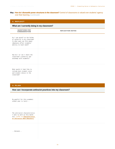#### May : How do I dismantle power structures in the classroom? Control of classrooms is valued over students' agency over their learning. (continued)

# What am I currently doing in my classroom? QUESTIONS FOR CONSIDERATION REFLECTION NOTES 2. REFLECT Do I see myself as the holder of authority in my classroom? In what ways can this power imbalance affect students' ability to learn math? How do I or can I share the classroom's authority and autonomy with students? What would it look like to include more student voice and student choice in the classroom?

### 3. PLAN

### How can I incorporate antiracist practices into my classroom?

| My goal(s) for this academic<br>school year is (are)                                                                             |  |  |
|----------------------------------------------------------------------------------------------------------------------------------|--|--|
| The antiracist characteristics<br>I want to work on this month<br>are (refer to Characteristics<br>of Antiracist Math Educators) |  |  |
| because                                                                                                                          |  |  |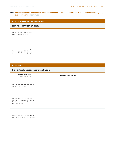#### May : How do I dismantle power structures in the classroom? Control of classrooms is valued over students' agency over their learning. (continued)

| <b>4. ACT WITH ACCOUNTABILITY</b>                                   |                |
|---------------------------------------------------------------------|----------------|
| How will I carry out my plan?                                       |                |
| These are the steps I will<br>take to enact my plan:                | 1.<br>2.<br>3. |
| will<br>hold me accountable for this<br>plan in the following ways: |                |

### 5. REFLECT

# Did I critically engage in antiracist work?

| <b>QUESTIONS FOR</b><br><b>CONSIDERATION</b>                                                                    | <b>REFLECTION NOTES</b> |
|-----------------------------------------------------------------------------------------------------------------|-------------------------|
| What helped or hindered me in<br>carrying out my plan?                                                          |                         |
| In what ways can I continue<br>this work next month, even as<br>I shift my antiracist praxis<br>to a new focus? |                         |
| How did engaging in antiracist<br>work help my students succeed?                                                |                         |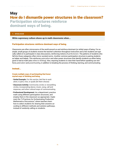# <span id="page-76-0"></span>**May** How do I dismantle power structures in the classroom? Participation structures reinforce dominant ways of being.

#### 1. ENGAGE

White supremacy culture shows up in math classrooms when...

#### Participation structures reinforce dominant ways of being.

Classrooms are often microcosms of the world around us and reinforce dominant (or white) ways of being. For example, small groups of students receive the teacher's attention throughout instruction and a few students are typically called on to participate in class discussions, reinforcing notions of *perfectionism*. The patterns of students who fall into those categories often mirror societal norms. Another common participation structure is pairing students as helper and helpee. This reinforces *paternalism* and other power structures that identify students as either being good or bad at math (also *either/or thinking*). Also, requiring students to raise their hand before speaking can reinforce *paternalism* and *powerhoarding*, in addition to breaking the process of thinking, learning, and communicating.

#### Instead...

#### Create multiple ways of participating that honor myriad ways of thinking and being.

- Verbal Example: *For this section, feel free to work alone, in pairs, trios, or quads (let them choose).*
- Classroom Activity: Community circles or storytelling circles, incorporating dance, music, song, call and response, and other cultural ways of communicating.
- Professional Development: As a department, practice math using different participation structures, and employ them in the classroom as appropriate. Implement the "5 Practices for Orchestrating Productive Mathematics Discussions," where teachers learn how to select students for sharing their answers according to different methods and solution pathways, instead of randomly calling on students.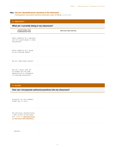#### May : How do I dismantle power structures in the classroom?

Participation structures reinforce dominant ways of being. (continued)

# What am I currently doing in my classroom? QUESTIONS FOR CONSIDERATION REFLECTION NOTES 2. REFLECT Which student(s) do I typically call on to participate in class discussions? How can I ensure that all my students get the same opportunities to collaborate in classroom discussions? Which student(s) do I assign as the classroom helper? Why do I make these choices?

### 3. PLAN

How can I incorporate antiracist practices into my classroom?

| My goal(s) for this academic<br>school year is (are)                                                                             |  |  |
|----------------------------------------------------------------------------------------------------------------------------------|--|--|
| The antiracist characteristics<br>I want to work on this month<br>are (refer to Characteristics<br>of Antiracist Math Educators) |  |  |
| because                                                                                                                          |  |  |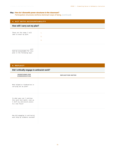#### May : How do I dismantle power structures in the classroom?

Participation structures reinforce dominant ways of being. (continued)

| <b>4. ACT WITH ACCOUNTABILITY</b>                                   |                |
|---------------------------------------------------------------------|----------------|
| How will I carry out my plan?                                       |                |
| These are the steps I will<br>take to enact my plan:                | 1.<br>2.<br>3. |
| will<br>hold me accountable for this<br>plan in the following ways: |                |

### 5. REFLECT

# Did I critically engage in antiracist work?

| <b>QUESTIONS FOR</b><br><b>CONSIDERATION</b>                                                                    | <b>REFLECTION NOTES</b> |
|-----------------------------------------------------------------------------------------------------------------|-------------------------|
| What helped or hindered me in<br>carrying out my plan?                                                          |                         |
| In what ways can I continue<br>this work next month, even as<br>I shift my antiracist praxis<br>to a new focus? |                         |
| How did engaging in antiracist<br>work help my students succeed?                                                |                         |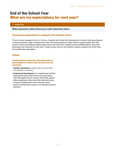# End of the School Year What are my expectations for next year?

#### 1. ENGAGE

White supremacy culture shows up in math classrooms when...

#### Preconceived expectations are steeped in the dominant culture.

This is a classic example of *either/or thinking*. If parents don't show the characteristics of what I think a good parent is, then that parent is bad. If students don't show the characteristics of what I think is a good student, then that student is bad. This thinking creates meritocracy in the classroom: Students have to pull themselves up by their bootstraps and if they fail it is their fault. It does not give room for the systemic reasons students fail, which often lie in problematic expectation.

#### Instead...

Provide students and parents with opportunities to give feedback to teachers about the classroom and instruction.

- Identify expectations, unpack why you have them, and reframe if necessary.
- Professional Development: As a department, identify expectations both within and across classrooms, and interrogate them for ways in which they uphold white supremacy culture and other dominant ways of being. (Re)align them with antiracist, social justice, transformative justice, and restorative justice practices.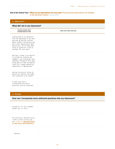#### End of the School Year : What are my expectations for next year? Preconceived expectations are steeped in the dominant culture. (continued)

| 2. REFLECT                                                                                                                                                                                                                                                    |                         |  |
|---------------------------------------------------------------------------------------------------------------------------------------------------------------------------------------------------------------------------------------------------------------|-------------------------|--|
| What did I do in my classroom?                                                                                                                                                                                                                                |                         |  |
| <b>QUESTIONS FOR</b><br><b>CONSIDERATION</b>                                                                                                                                                                                                                  | <b>REFLECTION NOTES</b> |  |
| Looking back at my questions<br>from the beginning of the year,<br>how have my beliefs shifted<br>about students and parents who<br>don't meet expectations? What<br>beliefs do I still hold? What<br>areas of growth do I need to<br>consider for next year? |                         |  |
| How have I grown in my ability<br>to reframe my thinking and<br>judgment, and incorporate more<br>unbiased information when some-<br>thing does not meet my expecta-<br>tions? Do I unpack whether my<br>expectation is appropriate?                          |                         |  |
| How has structural racism im-<br>pacted the families and commu-<br>nity connected to my school?                                                                                                                                                               |                         |  |
| In what ways have I<br>incorporated antiracist<br>practices into my classroom?                                                                                                                                                                                |                         |  |

#### 3. PLAN

### How can I incorporate more antiracist practices into my classroom?

| My goal(s) for next academic<br>school year is (are)                                                                            |  |
|---------------------------------------------------------------------------------------------------------------------------------|--|
| The antiracist characteristics<br>I want to work on this year<br>are (refer to Characteristics<br>of Antiracist Math Educators) |  |
| because                                                                                                                         |  |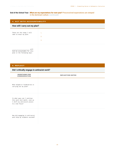#### **End of the School Year : What are my expectations for next year?** Preconceived expectations are steeped in the dominant culture. (continued)

| <b>4. ACT WITH ACCOUNTABILITY</b>                                   |                |
|---------------------------------------------------------------------|----------------|
| How will I carry out my plan?                                       |                |
| These are the steps I will<br>take to enact my plan:                | 1.<br>2.<br>3. |
| will<br>hold me accountable for this<br>plan in the following ways: |                |

### 5. REFLECT

## Did I critically engage in antiracist work?

| <b>QUESTIONS FOR</b><br><b>CONSIDERATION</b>                                                                    | <b>REFLECTION NOTES</b> |
|-----------------------------------------------------------------------------------------------------------------|-------------------------|
| What helped or hindered me in<br>carrying out my plan?                                                          |                         |
| In what ways can I continue<br>this work next month, even as<br>I shift my antiracist praxis<br>to a new focus? |                         |
| How did engaging in antiracist<br>work help my students succeed?                                                |                         |